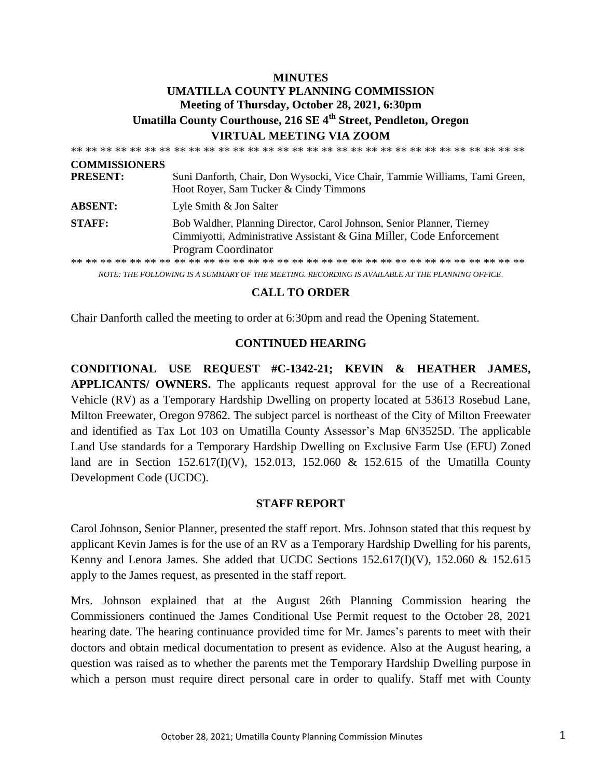# **MINUTES UMATILLA COUNTY PLANNING COMMISSION Meeting of Thursday, October 28, 2021, 6:30pm Umatilla County Courthouse, 216 SE 4th Street, Pendleton, Oregon VIRTUAL MEETING VIA ZOOM**

| <b>COMMISSIONERS</b> |                                                                                                                                                                              |
|----------------------|------------------------------------------------------------------------------------------------------------------------------------------------------------------------------|
| <b>PRESENT:</b>      | Suni Danforth, Chair, Don Wysocki, Vice Chair, Tammie Williams, Tami Green,<br>Hoot Royer, Sam Tucker & Cindy Timmons                                                        |
| <b>ABSENT:</b>       | Lyle Smith & Jon Salter                                                                                                                                                      |
| <b>STAFF:</b>        | Bob Waldher, Planning Director, Carol Johnson, Senior Planner, Tierney<br>Cimmiyotti, Administrative Assistant & Gina Miller, Code Enforcement<br><b>Program Coordinator</b> |
|                      |                                                                                                                                                                              |

*NOTE: THE FOLLOWING IS A SUMMARY OF THE MEETING. RECORDING IS AVAILABLE AT THE PLANNING OFFICE.*

### **CALL TO ORDER**

Chair Danforth called the meeting to order at 6:30pm and read the Opening Statement.

### **CONTINUED HEARING**

**CONDITIONAL USE REQUEST #C-1342-21; KEVIN & HEATHER JAMES, APPLICANTS/ OWNERS.** The applicants request approval for the use of a Recreational Vehicle (RV) as a Temporary Hardship Dwelling on property located at 53613 Rosebud Lane, Milton Freewater, Oregon 97862. The subject parcel is northeast of the City of Milton Freewater and identified as Tax Lot 103 on Umatilla County Assessor's Map 6N3525D. The applicable Land Use standards for a Temporary Hardship Dwelling on Exclusive Farm Use (EFU) Zoned land are in Section 152.617(I)(V), 152.013, 152.060 & 152.615 of the Umatilla County Development Code (UCDC).

### **STAFF REPORT**

Carol Johnson, Senior Planner, presented the staff report. Mrs. Johnson stated that this request by applicant Kevin James is for the use of an RV as a Temporary Hardship Dwelling for his parents, Kenny and Lenora James. She added that UCDC Sections  $152.617(I)(V)$ ,  $152.060 \& 152.615$ apply to the James request, as presented in the staff report.

Mrs. Johnson explained that at the August 26th Planning Commission hearing the Commissioners continued the James Conditional Use Permit request to the October 28, 2021 hearing date. The hearing continuance provided time for Mr. James's parents to meet with their doctors and obtain medical documentation to present as evidence. Also at the August hearing, a question was raised as to whether the parents met the Temporary Hardship Dwelling purpose in which a person must require direct personal care in order to qualify. Staff met with County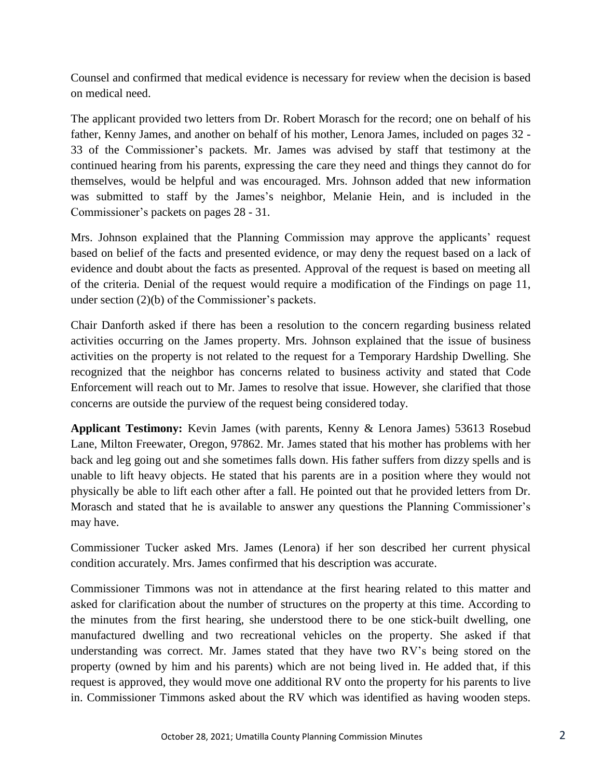Counsel and confirmed that medical evidence is necessary for review when the decision is based on medical need.

The applicant provided two letters from Dr. Robert Morasch for the record; one on behalf of his father, Kenny James, and another on behalf of his mother, Lenora James, included on pages 32 - 33 of the Commissioner's packets. Mr. James was advised by staff that testimony at the continued hearing from his parents, expressing the care they need and things they cannot do for themselves, would be helpful and was encouraged. Mrs. Johnson added that new information was submitted to staff by the James's neighbor, Melanie Hein, and is included in the Commissioner's packets on pages 28 - 31.

Mrs. Johnson explained that the Planning Commission may approve the applicants' request based on belief of the facts and presented evidence, or may deny the request based on a lack of evidence and doubt about the facts as presented. Approval of the request is based on meeting all of the criteria. Denial of the request would require a modification of the Findings on page 11, under section (2)(b) of the Commissioner's packets.

Chair Danforth asked if there has been a resolution to the concern regarding business related activities occurring on the James property. Mrs. Johnson explained that the issue of business activities on the property is not related to the request for a Temporary Hardship Dwelling. She recognized that the neighbor has concerns related to business activity and stated that Code Enforcement will reach out to Mr. James to resolve that issue. However, she clarified that those concerns are outside the purview of the request being considered today.

**Applicant Testimony:** Kevin James (with parents, Kenny & Lenora James) 53613 Rosebud Lane, Milton Freewater, Oregon, 97862. Mr. James stated that his mother has problems with her back and leg going out and she sometimes falls down. His father suffers from dizzy spells and is unable to lift heavy objects. He stated that his parents are in a position where they would not physically be able to lift each other after a fall. He pointed out that he provided letters from Dr. Morasch and stated that he is available to answer any questions the Planning Commissioner's may have.

Commissioner Tucker asked Mrs. James (Lenora) if her son described her current physical condition accurately. Mrs. James confirmed that his description was accurate.

Commissioner Timmons was not in attendance at the first hearing related to this matter and asked for clarification about the number of structures on the property at this time. According to the minutes from the first hearing, she understood there to be one stick-built dwelling, one manufactured dwelling and two recreational vehicles on the property. She asked if that understanding was correct. Mr. James stated that they have two RV's being stored on the property (owned by him and his parents) which are not being lived in. He added that, if this request is approved, they would move one additional RV onto the property for his parents to live in. Commissioner Timmons asked about the RV which was identified as having wooden steps.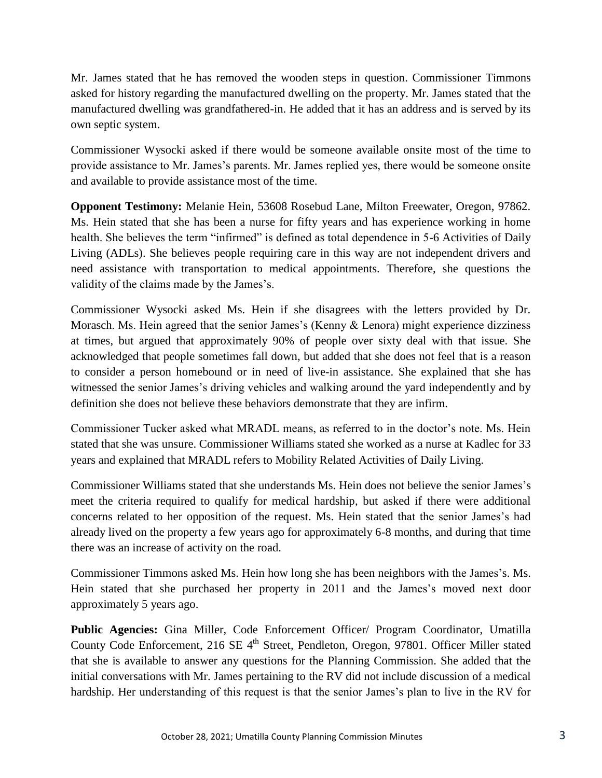Mr. James stated that he has removed the wooden steps in question. Commissioner Timmons asked for history regarding the manufactured dwelling on the property. Mr. James stated that the manufactured dwelling was grandfathered-in. He added that it has an address and is served by its own septic system.

Commissioner Wysocki asked if there would be someone available onsite most of the time to provide assistance to Mr. James's parents. Mr. James replied yes, there would be someone onsite and available to provide assistance most of the time.

**Opponent Testimony:** Melanie Hein, 53608 Rosebud Lane, Milton Freewater, Oregon, 97862. Ms. Hein stated that she has been a nurse for fifty years and has experience working in home health. She believes the term "infirmed" is defined as total dependence in 5-6 Activities of Daily Living (ADLs). She believes people requiring care in this way are not independent drivers and need assistance with transportation to medical appointments. Therefore, she questions the validity of the claims made by the James's.

Commissioner Wysocki asked Ms. Hein if she disagrees with the letters provided by Dr. Morasch. Ms. Hein agreed that the senior James's (Kenny & Lenora) might experience dizziness at times, but argued that approximately 90% of people over sixty deal with that issue. She acknowledged that people sometimes fall down, but added that she does not feel that is a reason to consider a person homebound or in need of live-in assistance. She explained that she has witnessed the senior James's driving vehicles and walking around the yard independently and by definition she does not believe these behaviors demonstrate that they are infirm.

Commissioner Tucker asked what MRADL means, as referred to in the doctor's note. Ms. Hein stated that she was unsure. Commissioner Williams stated she worked as a nurse at Kadlec for 33 years and explained that MRADL refers to Mobility Related Activities of Daily Living.

Commissioner Williams stated that she understands Ms. Hein does not believe the senior James's meet the criteria required to qualify for medical hardship, but asked if there were additional concerns related to her opposition of the request. Ms. Hein stated that the senior James's had already lived on the property a few years ago for approximately 6-8 months, and during that time there was an increase of activity on the road.

Commissioner Timmons asked Ms. Hein how long she has been neighbors with the James's. Ms. Hein stated that she purchased her property in 2011 and the James's moved next door approximately 5 years ago.

**Public Agencies:** Gina Miller, Code Enforcement Officer/ Program Coordinator, Umatilla County Code Enforcement, 216 SE 4<sup>th</sup> Street, Pendleton, Oregon, 97801. Officer Miller stated that she is available to answer any questions for the Planning Commission. She added that the initial conversations with Mr. James pertaining to the RV did not include discussion of a medical hardship. Her understanding of this request is that the senior James's plan to live in the RV for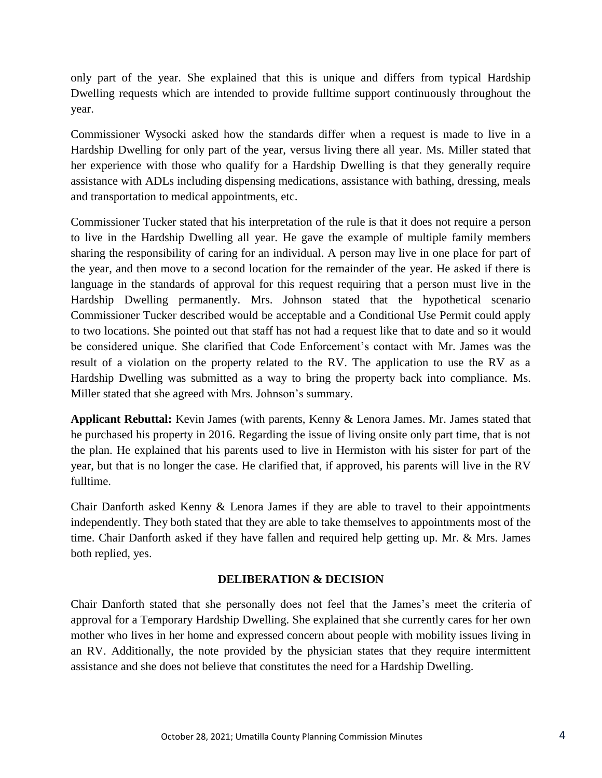only part of the year. She explained that this is unique and differs from typical Hardship Dwelling requests which are intended to provide fulltime support continuously throughout the year.

Commissioner Wysocki asked how the standards differ when a request is made to live in a Hardship Dwelling for only part of the year, versus living there all year. Ms. Miller stated that her experience with those who qualify for a Hardship Dwelling is that they generally require assistance with ADLs including dispensing medications, assistance with bathing, dressing, meals and transportation to medical appointments, etc.

Commissioner Tucker stated that his interpretation of the rule is that it does not require a person to live in the Hardship Dwelling all year. He gave the example of multiple family members sharing the responsibility of caring for an individual. A person may live in one place for part of the year, and then move to a second location for the remainder of the year. He asked if there is language in the standards of approval for this request requiring that a person must live in the Hardship Dwelling permanently. Mrs. Johnson stated that the hypothetical scenario Commissioner Tucker described would be acceptable and a Conditional Use Permit could apply to two locations. She pointed out that staff has not had a request like that to date and so it would be considered unique. She clarified that Code Enforcement's contact with Mr. James was the result of a violation on the property related to the RV. The application to use the RV as a Hardship Dwelling was submitted as a way to bring the property back into compliance. Ms. Miller stated that she agreed with Mrs. Johnson's summary.

**Applicant Rebuttal:** Kevin James (with parents, Kenny & Lenora James. Mr. James stated that he purchased his property in 2016. Regarding the issue of living onsite only part time, that is not the plan. He explained that his parents used to live in Hermiston with his sister for part of the year, but that is no longer the case. He clarified that, if approved, his parents will live in the RV fulltime.

Chair Danforth asked Kenny & Lenora James if they are able to travel to their appointments independently. They both stated that they are able to take themselves to appointments most of the time. Chair Danforth asked if they have fallen and required help getting up. Mr. & Mrs. James both replied, yes.

## **DELIBERATION & DECISION**

Chair Danforth stated that she personally does not feel that the James's meet the criteria of approval for a Temporary Hardship Dwelling. She explained that she currently cares for her own mother who lives in her home and expressed concern about people with mobility issues living in an RV. Additionally, the note provided by the physician states that they require intermittent assistance and she does not believe that constitutes the need for a Hardship Dwelling.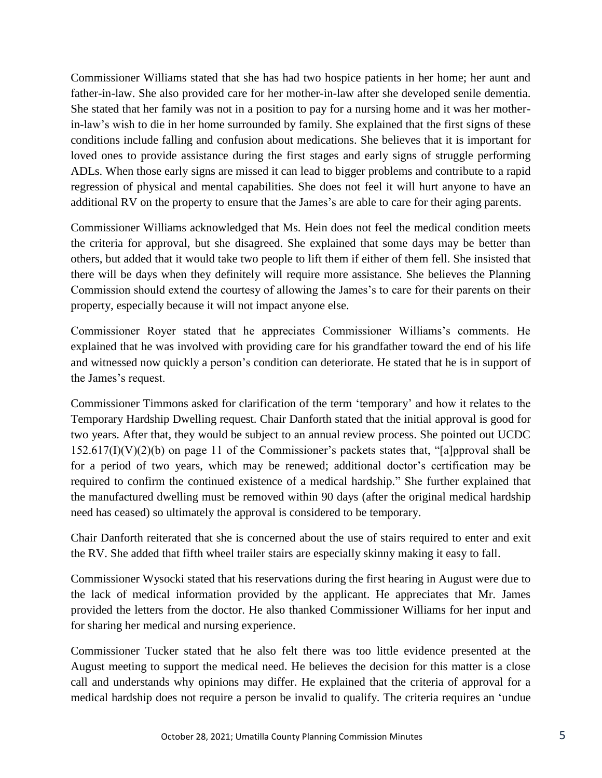Commissioner Williams stated that she has had two hospice patients in her home; her aunt and father-in-law. She also provided care for her mother-in-law after she developed senile dementia. She stated that her family was not in a position to pay for a nursing home and it was her motherin-law's wish to die in her home surrounded by family. She explained that the first signs of these conditions include falling and confusion about medications. She believes that it is important for loved ones to provide assistance during the first stages and early signs of struggle performing ADLs. When those early signs are missed it can lead to bigger problems and contribute to a rapid regression of physical and mental capabilities. She does not feel it will hurt anyone to have an additional RV on the property to ensure that the James's are able to care for their aging parents.

Commissioner Williams acknowledged that Ms. Hein does not feel the medical condition meets the criteria for approval, but she disagreed. She explained that some days may be better than others, but added that it would take two people to lift them if either of them fell. She insisted that there will be days when they definitely will require more assistance. She believes the Planning Commission should extend the courtesy of allowing the James's to care for their parents on their property, especially because it will not impact anyone else.

Commissioner Royer stated that he appreciates Commissioner Williams's comments. He explained that he was involved with providing care for his grandfather toward the end of his life and witnessed now quickly a person's condition can deteriorate. He stated that he is in support of the James's request.

Commissioner Timmons asked for clarification of the term 'temporary' and how it relates to the Temporary Hardship Dwelling request. Chair Danforth stated that the initial approval is good for two years. After that, they would be subject to an annual review process. She pointed out UCDC  $152.617(I)(V)(2)(b)$  on page 11 of the Commissioner's packets states that, "[a]pproval shall be for a period of two years, which may be renewed; additional doctor's certification may be required to confirm the continued existence of a medical hardship." She further explained that the manufactured dwelling must be removed within 90 days (after the original medical hardship need has ceased) so ultimately the approval is considered to be temporary.

Chair Danforth reiterated that she is concerned about the use of stairs required to enter and exit the RV. She added that fifth wheel trailer stairs are especially skinny making it easy to fall.

Commissioner Wysocki stated that his reservations during the first hearing in August were due to the lack of medical information provided by the applicant. He appreciates that Mr. James provided the letters from the doctor. He also thanked Commissioner Williams for her input and for sharing her medical and nursing experience.

Commissioner Tucker stated that he also felt there was too little evidence presented at the August meeting to support the medical need. He believes the decision for this matter is a close call and understands why opinions may differ. He explained that the criteria of approval for a medical hardship does not require a person be invalid to qualify. The criteria requires an 'undue